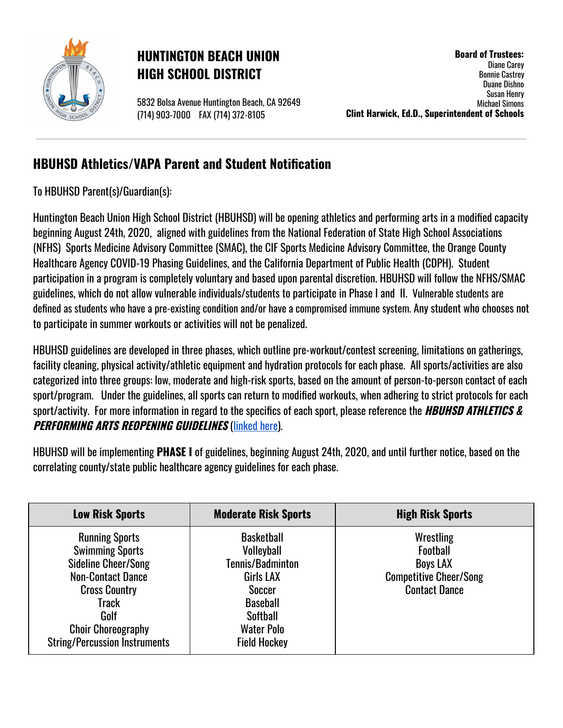

## **HUNTINGTON BEACH UNION HIGH SCHOOL DISTRICT**

5832 Bolsa Avenue Huntington Beach, CA 92649 (714) 903-7000 FAX (714) 372-8105

**Board of Trustees:** Diane Carey Bonnie Castrey Duane Dishno Susan Henry Michael Simons **Clint Harwick, Ed.D., Superintendent of Schools**

## **HBUHSD Athletics/VAPA Parent and Student Notification**

To HBUHSD Parent(s)/Guardian(s):

Huntington Beach Union High School District (HBUHSD) will be opening athletics and performing arts in a modified capacity beginning August 24th, 2020, aligned with guidelines from the National Federation of State High School Associations (NFHS) Sports Medicine Advisory Committee (SMAC), the CIF Sports Medicine Advisory Committee, the Orange County Healthcare Agency COVID-19 Phasing Guidelines, and the California Department of Public Health (CDPH). Student participation in a program is completely voluntary and based upon parental discretion. HBUHSD will follow the NFHS/SMAC guidelines, which do not allow vulnerable individuals/students to participate in Phase I and II. Vulnerable students are defined as students who have a pre-existing condition and/or have a compromised immune system. Any student who chooses not to participate in summer workouts or activities will not be penalized.

HBUHSD guidelines are developed in three phases, which outline pre-workout/contest screening, limitations on gatherings, facility cleaning, physical activity/athletic equipment and hydration protocols for each phase. All sports/activities are also categorized into three groups: low, moderate and high-risk sports, based on the amount of person-to-person contact of each sport/program. Under the guidelines, all sports can return to modified workouts, when adhering to strict protocols for each sport/activity. For more information in regard to the specifics of each sport, please reference the **HBUHSD ATHLETICS & PERFORMING ARTS REOPENING GUIDELINES** ([linked](https://docs.google.com/document/d/1-No75UXAFgUOcvCriqQJg07ssXNehOOW0a5GxmT-5S4/edit?usp=sharing) here).

HBUHSD will be implementing **PHASE I** of guidelines, beginning August 24th, 2020, and until further notice, based on the correlating county/state public healthcare agency guidelines for each phase.

| <b>Low Risk Sports</b>                                                                                                                                                                                                  | <b>Moderate Risk Sports</b>                                                                                                                                                | <b>High Risk Sports</b>                                                                                  |
|-------------------------------------------------------------------------------------------------------------------------------------------------------------------------------------------------------------------------|----------------------------------------------------------------------------------------------------------------------------------------------------------------------------|----------------------------------------------------------------------------------------------------------|
| <b>Running Sports</b><br><b>Swimming Sports</b><br><b>Sideline Cheer/Song</b><br><b>Non-Contact Dance</b><br><b>Cross Country</b><br>Track<br>Golf<br><b>Choir Choreography</b><br><b>String/Percussion Instruments</b> | <b>Basketball</b><br><b>Volleyball</b><br>Tennis/Badminton<br><b>Girls LAX</b><br>Soccer<br><b>Baseball</b><br><b>Softball</b><br><b>Water Polo</b><br><b>Field Hockey</b> | Wrestling<br><b>Football</b><br><b>Boys LAX</b><br><b>Competitive Cheer/Song</b><br><b>Contact Dance</b> |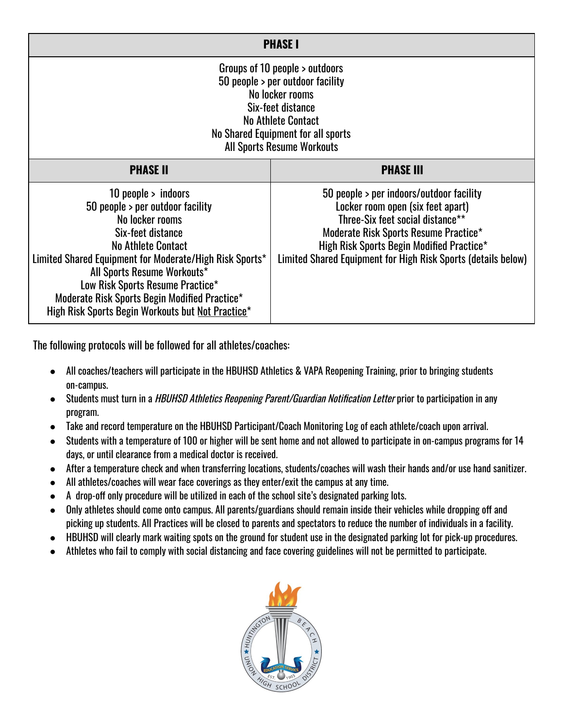| <b>PHASE I</b>                                                                                                                                                                                                                                                                                                                                                     |                                                                                                                                                                                                                                                                          |  |  |  |  |
|--------------------------------------------------------------------------------------------------------------------------------------------------------------------------------------------------------------------------------------------------------------------------------------------------------------------------------------------------------------------|--------------------------------------------------------------------------------------------------------------------------------------------------------------------------------------------------------------------------------------------------------------------------|--|--|--|--|
| Groups of 10 people > outdoors<br>50 people > per outdoor facility<br>No locker rooms<br>Six-feet distance<br><b>No Athlete Contact</b><br>No Shared Equipment for all sports<br><b>All Sports Resume Workouts</b>                                                                                                                                                 |                                                                                                                                                                                                                                                                          |  |  |  |  |
| <b>PHASE II</b>                                                                                                                                                                                                                                                                                                                                                    | <b>PHASE III</b>                                                                                                                                                                                                                                                         |  |  |  |  |
| 10 people $>$ indoors<br>50 people > per outdoor facility<br>No locker rooms<br>Six-feet distance<br><b>No Athlete Contact</b><br>Limited Shared Equipment for Moderate/High Risk Sports*<br>All Sports Resume Workouts*<br>Low Risk Sports Resume Practice*<br>Moderate Risk Sports Begin Modified Practice*<br>High Risk Sports Begin Workouts but Not Practice* | 50 people > per indoors/outdoor facility<br>Locker room open (six feet apart)<br>Three-Six feet social distance**<br>Moderate Risk Sports Resume Practice*<br>High Risk Sports Begin Modified Practice*<br>Limited Shared Equipment for High Risk Sports (details below) |  |  |  |  |

The following protocols will be followed for all athletes/coaches:

- All coaches/teachers will participate in the HBUHSD Athletics & VAPA Reopening Training, prior to bringing students on-campus.
- Students must turn in a HBUHSD Athletics Reopening Parent/Guardian Notification Letter prior to participation in any program.
- Take and record temperature on the HBUHSD Participant/Coach Monitoring Log of each athlete/coach upon arrival.
- Students with a temperature of 100 or higher will be sent home and not allowed to participate in on-campus programs for 14 days, or until clearance from a medical doctor is received.
- After a temperature check and when transferring locations, students/coaches will wash their hands and/or use hand sanitizer.
- All athletes/coaches will wear face coverings as they enter/exit the campus at any time.
- $\bullet$  A drop-off only procedure will be utilized in each of the school site's designated parking lots.
- Only athletes should come onto campus. All parents/guardians should remain inside their vehicles while dropping off and picking up students. All Practices will be closed to parents and spectators to reduce the number of individuals in a facility.
- HBUHSD will clearly mark waiting spots on the ground for student use in the designated parking lot for pick-up procedures.
- Athletes who fail to comply with social distancing and face covering guidelines will not be permitted to participate.